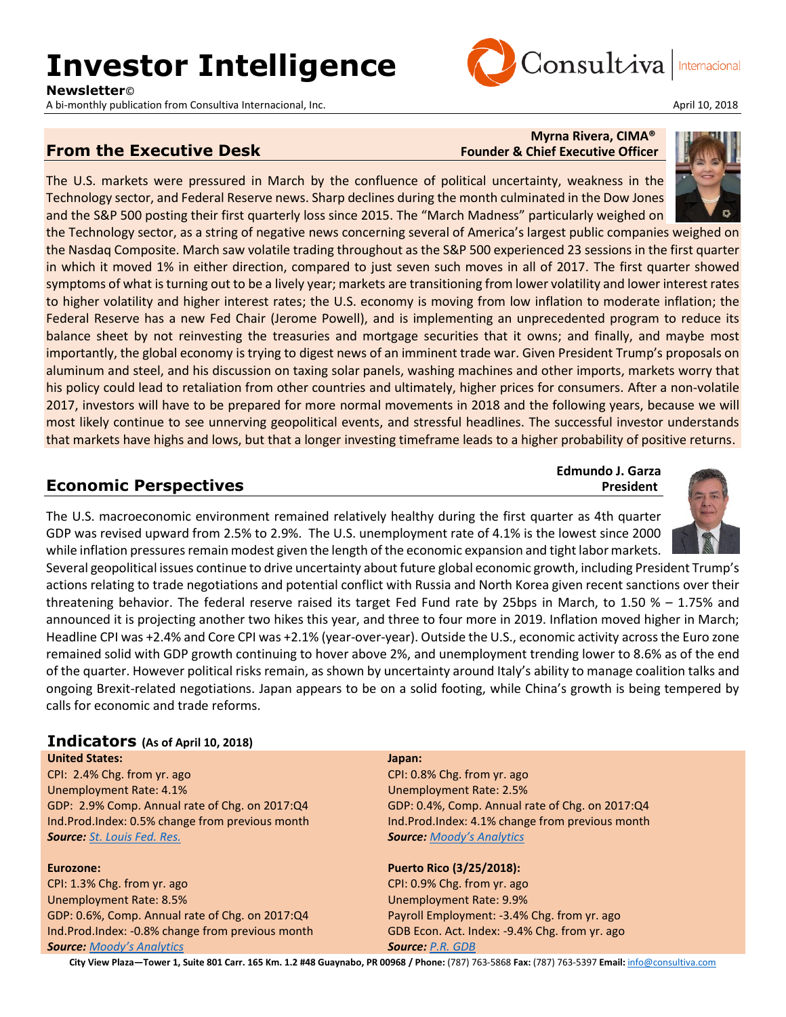## **Investor Intelligence**

**Newsletter**©

A bi-monthly publication from Consultiva Internacional, Inc. April 10, 2018

# Consultiva

**Edmundo J. Garza**

## **From the Executive Desk** Founder & Chief Executive Officer

## **Myrna Rivera, CIMA®**

The U.S. markets were pressured in March by the confluence of political uncertainty, weakness in the Technology sector, and Federal Reserve news. Sharp declines during the month culminated in the Dow Jones and the S&P 500 posting their first quarterly loss since 2015. The "March Madness" particularly weighed on

the Technology sector, as a string of negative news concerning several of America's largest public companies weighed on the Nasdaq Composite. March saw volatile trading throughout as the S&P 500 experienced 23 sessions in the first quarter in which it moved 1% in either direction, compared to just seven such moves in all of 2017. The first quarter showed symptoms of what is turning out to be a lively year; markets are transitioning from lower volatility and lower interest rates to higher volatility and higher interest rates; the U.S. economy is moving from low inflation to moderate inflation; the Federal Reserve has a new Fed Chair (Jerome Powell), and is implementing an unprecedented program to reduce its balance sheet by not reinvesting the treasuries and mortgage securities that it owns; and finally, and maybe most importantly, the global economy is trying to digest news of an imminent trade war. Given President Trump's proposals on aluminum and steel, and his discussion on taxing solar panels, washing machines and other imports, markets worry that his policy could lead to retaliation from other countries and ultimately, higher prices for consumers. After a non-volatile 2017, investors will have to be prepared for more normal movements in 2018 and the following years, because we will most likely continue to see unnerving geopolitical events, and stressful headlines. The successful investor understands that markets have highs and lows, but that a longer investing timeframe leads to a higher probability of positive returns.

## **Economic Perspectives** *President* **President**

The U.S. macroeconomic environment remained relatively healthy during the first quarter as 4th quarter GDP was revised upward from 2.5% to 2.9%. The U.S. unemployment rate of 4.1% is the lowest since 2000 while inflation pressures remain modest given the length of the economic expansion and tight labor markets.

Several geopolitical issues continue to drive uncertainty about future global economic growth, including President Trump's actions relating to trade negotiations and potential conflict with Russia and North Korea given recent sanctions over their threatening behavior. The federal reserve raised its target Fed Fund rate by 25bps in March, to 1.50 % – 1.75% and announced it is projecting another two hikes this year, and three to four more in 2019. Inflation moved higher in March; Headline CPI was +2.4% and Core CPI was +2.1% (year-over-year). Outside the U.S., economic activity across the Euro zone remained solid with GDP growth continuing to hover above 2%, and unemployment trending lower to 8.6% as of the end of the quarter. However political risks remain, as shown by uncertainty around Italy's ability to manage coalition talks and ongoing Brexit-related negotiations. Japan appears to be on a solid footing, while China's growth is being tempered by calls for economic and trade reforms.

#### **Indicators (As of April 10, 2018)**

**United States:** CPI: 2.4% Chg. from yr. ago Unemployment Rate: 4.1% GDP: 2.9% Comp. Annual rate of Chg. on 2017:Q4 Ind.Prod.Index: 0.5% change from previous month *Source: [St. Louis Fed. Res.](http://research.stlouisfed.org/)*

#### **Eurozone:**

CPI: 1.3% Chg. from yr. ago Unemployment Rate: 8.5% GDP: 0.6%, Comp. Annual rate of Chg. on 2017:Q4 Ind.Prod.Index: -0.8% change from previous month *Source: [Moody's Analytics](https://www.economy.com/dismal/)*

#### **Japan:**

CPI: 0.8% Chg. from yr. ago Unemployment Rate: 2.5% GDP: 0.4%, Comp. Annual rate of Chg. on 2017:Q4 Ind.Prod.Index: 4.1% change from previous month *Source: [Moody's Analytics](https://www.economy.com/dismal/)*

#### **Puerto Rico (3/25/2018):**

CPI: 0.9% Chg. from yr. ago Unemployment Rate: 9.9% Payroll Employment: -3.4% Chg. from yr. ago GDB Econ. Act. Index: -9.4% Chg. from yr. ago *Source: [P.R. GDB](http://www.gdb-pur.com/)*



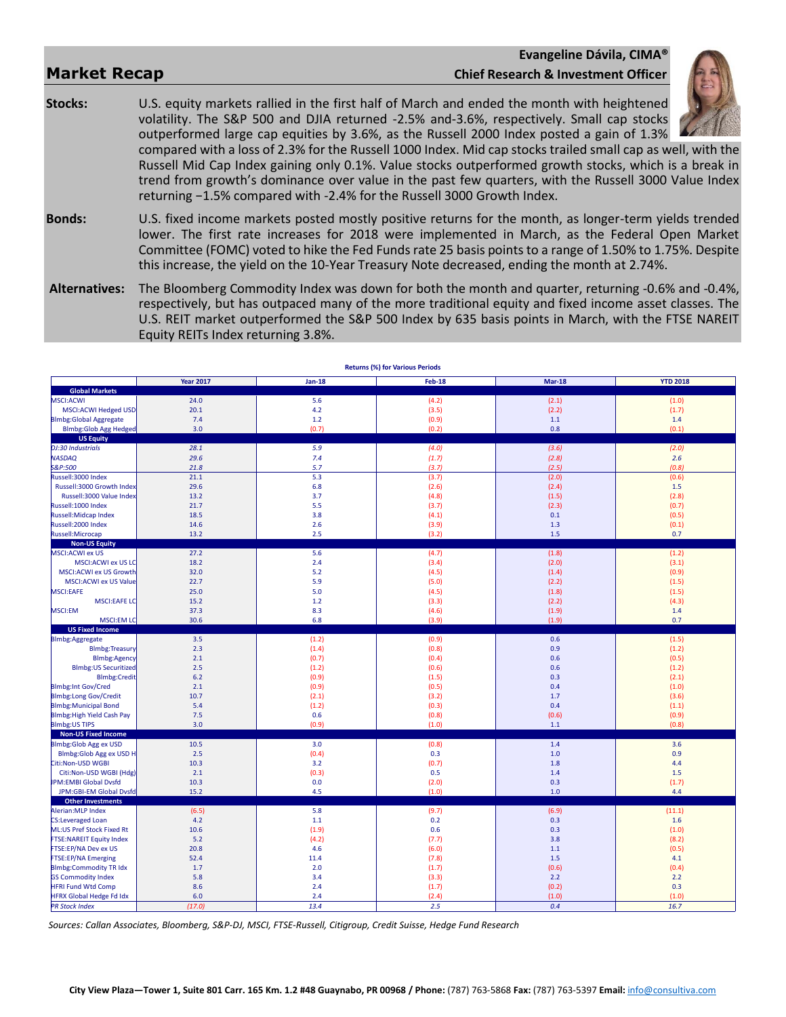#### **Evangeline Dávila, CIMA® Market Recap Chief Research & Investment Officer**

**Stocks:** U.S. equity markets rallied in the first half of March and ended the month with heightened volatility. The S&P 500 and DJIA returned -2.5% and-3.6%, respectively. Small cap stocks outperformed large cap equities by 3.6%, as the Russell 2000 Index posted a gain of 1.3%



compared with a loss of 2.3% for the Russell 1000 Index. Mid cap stocks trailed small cap as well, with the Russell Mid Cap Index gaining only 0.1%. Value stocks outperformed growth stocks, which is a break in trend from growth's dominance over value in the past few quarters, with the Russell 3000 Value Index returning −1.5% compared with -2.4% for the Russell 3000 Growth Index.

**Bonds:** U.S. fixed income markets posted mostly positive returns for the month, as longer-term yields trended lower. The first rate increases for 2018 were implemented in March, as the Federal Open Market Committee (FOMC) voted to hike the Fed Funds rate 25 basis points to a range of 1.50% to 1.75%. Despite this increase, the yield on the 10-Year Treasury Note decreased, ending the month at 2.74%.

**Alternatives:** The Bloomberg Commodity Index was down for both the month and quarter, returning -0.6% and -0.4%, respectively, but has outpaced many of the more traditional equity and fixed income asset classes. The U.S. REIT market outperformed the S&P 500 Index by 635 basis points in March, with the FTSE NAREIT Equity REITs Index returning 3.8%.

|                                                | <b>Year 2017</b> | $Jan-18$   | <b>Feb-18</b> | $Mar-18$     | <b>YTD 2018</b> |
|------------------------------------------------|------------------|------------|---------------|--------------|-----------------|
| <b>Global Markets</b>                          |                  |            |               |              |                 |
| MSCI:ACWI                                      | 24.0             | 5.6        | (4.2)         | (2.1)        | (1.0)           |
| MSCI:ACWI Hedged USD                           | 20.1             | 4.2        | (3.5)         | (2.2)        | (1.7)           |
| <b>BImbg:Global Aggregate</b>                  | 7.4              | $1.2$      | (0.9)         | 1.1          | 1.4             |
| <b>Blmbg:Glob Agg Hedged</b>                   | 3.0              | (0.7)      | (0.2)         | 0.8          | (0.1)           |
| <b>US Equity</b>                               |                  |            |               |              |                 |
| DJ:30 Industrials                              | 28.1             | 5.9        | (4.0)         | (3.6)        | (2.0)           |
| <b>NASDAQ</b>                                  | 29.6             | 7.4        | (1.7)         | (2.8)        | 2.6             |
| <b>S&amp;P:500</b>                             | 21.8             | 5.7        | (3.7)         | (2.5)        | (0.8)           |
| Russell:3000 Index                             | 21.1             | 5.3        | (3.7)         | (2.0)        | (0.6)           |
| Russell:3000 Growth Index                      | 29.6             | 6.8        | (2.6)         | (2.4)        | $1.5\,$         |
| Russell:3000 Value Index                       | 13.2             | 3.7        | (4.8)         | (1.5)        | (2.8)           |
| Russell: 1000 Index                            | 21.7             | 5.5        | (3.7)         | (2.3)        | (0.7)           |
| Russell:Midcap Index                           | 18.5             | 3.8        | (4.1)         | 0.1          | (0.5)           |
| Russell: 2000 Index                            | 14.6             | 2.6        | (3.9)         | 1.3          | (0.1)           |
| Russell:Microcap                               | 13.2             | 2.5        | (3.2)         | 1.5          | 0.7             |
| <b>Non-US Equity</b>                           |                  |            |               |              |                 |
| MSCI:ACWI ex US                                | 27.2             | 5.6        | (4.7)         | (1.8)        | (1.2)           |
| <b>MSCI:ACWI ex US LC</b>                      | 18.2             | 2.4        | (3.4)         | (2.0)        | (3.1)           |
| MSCI:ACWI ex US Growth                         | 32.0             | 5.2        | (4.5)         | (1.4)        | (0.9)           |
| <b>MSCI:ACWI ex US Value</b>                   | 22.7             | 5.9        | (5.0)         | (2.2)        | (1.5)           |
| <b>MSCI:EAFE</b>                               | 25.0             | 5.0        | (4.5)         | (1.8)        | (1.5)           |
| MSCI:EAFE LC                                   | 15.2             | 1.2        | (3.3)         | (2.2)        | (4.3)           |
| MSCI:EM                                        | 37.3             | 8.3        | (4.6)         | (1.9)        | 1.4             |
| <b>MSCI:EM LC</b><br><b>US Fixed Income</b>    | 30.6             | 6.8        | (3.9)         | (1.9)        | 0.7             |
| Blmbg:Aggregate                                | 3.5              | (1.2)      | (0.9)         | 0.6          | (1.5)           |
| <b>Blmbg:Treasury</b>                          | 2.3              | (1.4)      | (0.8)         | 0.9          | (1.2)           |
| <b>Blmbg:Agency</b>                            | 2.1              | (0.7)      | (0.4)         | 0.6          | (0.5)           |
| <b>Blmbg: US Securitized</b>                   | 2.5              | (1.2)      | (0.6)         | 0.6          | (1.2)           |
| <b>Blmbg:Credit</b>                            | 6.2              | (0.9)      | (1.5)         | 0.3          | (2.1)           |
| <b>Blmbg:Int Gov/Cred</b>                      | 2.1              | (0.9)      | (0.5)         | 0.4          | (1.0)           |
| <b>Blmbg:Long Gov/Credit</b>                   | 10.7             | (2.1)      | (3.2)         | 1.7          | (3.6)           |
| <b>Blmbg:Municipal Bond</b>                    | 5.4              | (1.2)      | (0.3)         | 0.4          | (1.1)           |
| Blmbg: High Yield Cash Pay                     | 7.5              | 0.6        | (0.8)         | (0.6)        | (0.9)           |
| <b>Blmbg:US TIPS</b>                           | 3.0              | (0.9)      | (1.0)         | 1.1          | (0.8)           |
| <b>Non-US Fixed Income</b>                     |                  |            |               |              |                 |
| Blmbg: Glob Agg ex USD                         | 10.5             | 3.0        | (0.8)         | 1.4          | 3.6             |
| Blmbg:Glob Agg ex USD H                        | 2.5              | (0.4)      | 0.3           | 1.0          | 0.9             |
| Citi:Non-USD WGBI                              | 10.3             | 3.2        | (0.7)         | 1.8          | 4.4             |
| Citi:Non-USD WGBI (Hdg)                        | 2.1              | (0.3)      | 0.5           | 1.4          | 1.5             |
| <b>IPM:EMBI Global Dysfd</b>                   | 10.3             | 0.0        | (2.0)         | 0.3          | (1.7)           |
| JPM:GBI-EM Global Dvsfd                        | 15.2             | 4.5        | (1.0)         | 1.0          | 4.4             |
| <b>Other Investments</b>                       |                  |            |               |              |                 |
| Alerian: MLP Index<br><b>CS:Leveraged Loan</b> | (6.5)<br>4.2     | 5.8<br>1.1 | (9.7)<br>0.2  | (6.9)<br>0.3 | (11.1)<br>1.6   |
| ML:US Pref Stock Fixed Rt                      | 10.6             | (1.9)      | 0.6           | 0.3          | (1.0)           |
| <b>FTSE:NAREIT Equity Index</b>                | 5.2              | (4.2)      | (7.7)         | 3.8          | (8.2)           |
| FTSE:EP/NA Dev ex US                           | 20.8             | 4.6        | (6.0)         | 1.1          | (0.5)           |
| <b>FTSE:EP/NA Emerging</b>                     | 52.4             | 11.4       | (7.8)         | 1.5          | 4.1             |
| <b>Blmbg:Commodity TR Idx</b>                  | 1.7              | 2.0        | (1.7)         | (0.6)        | (0.4)           |
| <b>GS Commodity Index</b>                      | 5.8              | 3.4        | (3.3)         | 2.2          | 2.2             |
| <b>HFRI Fund Wtd Comp</b>                      | 8.6              | 2.4        | (1.7)         | (0.2)        | 0.3             |
| <b>HFRX Global Hedge Fd Idx</b>                | 6.0              | 2.4        | (2.4)         | (1.0)        | (1.0)           |
| <b>PR Stock Index</b>                          | (17.0)           | 13.4       | 2.5           | 0.4          | 16.7            |
|                                                |                  |            |               |              |                 |

**Returns (%) for Various Periods**

*Sources: Callan Associates, Bloomberg, S&P-DJ, MSCI, FTSE-Russell, Citigroup, Credit Suisse, Hedge Fund Research*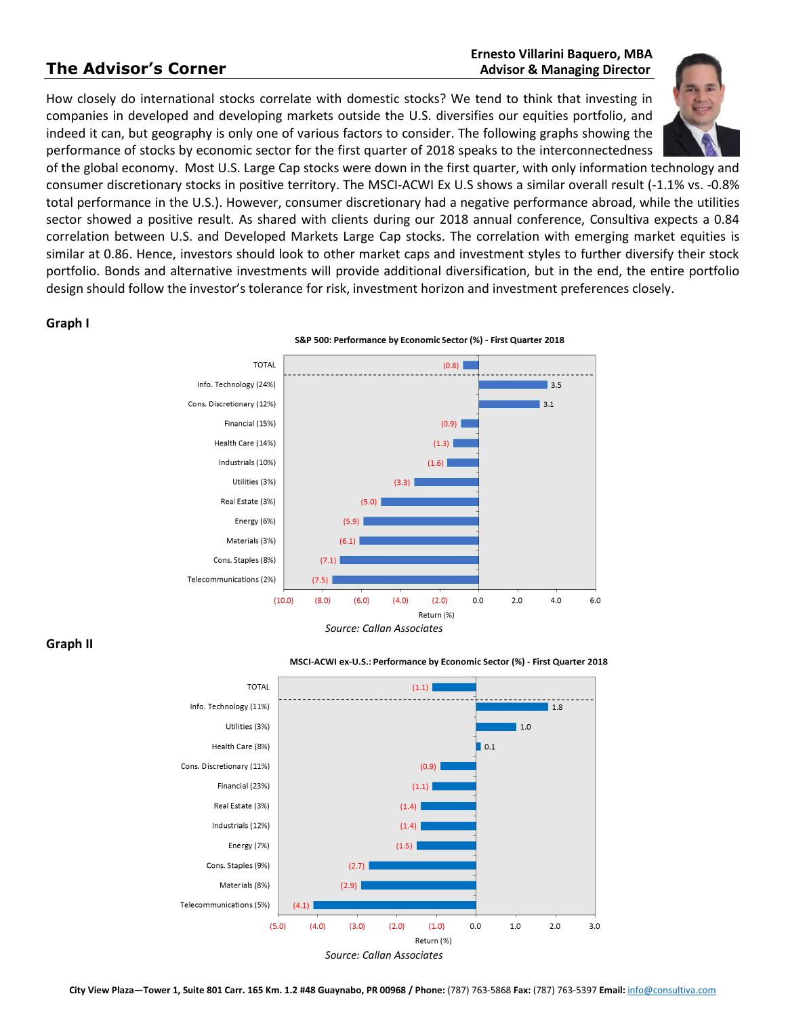#### **Ernesto Villarini Baquero, MBA The Advisor's Corner** *Advisor's* **Corner** *Advisor & Managing Director*

How closely do international stocks correlate with domestic stocks? We tend to think that investing in companies in developed and developing markets outside the U.S. diversifies our equities portfolio, and indeed it can, but geography is only one of various factors to consider. The following graphs showing the performance of stocks by economic sector for the first quarter of 2018 speaks to the interconnectedness



of the global economy. Most U.S. Large Cap stocks were down in the first quarter, with only information technology and consumer discretionary stocks in positive territory. The MSCI-ACWI Ex U.S shows a similar overall result (-1.1% vs. -0.8% total performance in the U.S.). However, consumer discretionary had a negative performance abroad, while the utilities sector showed a positive result. As shared with clients during our 2018 annual conference, Consultiva expects a 0.84 correlation between U.S. and Developed Markets Large Cap stocks. The correlation with emerging market equities is similar at 0.86. Hence, investors should look to other market caps and investment styles to further diversify their stock portfolio. Bonds and alternative investments will provide additional diversification, but in the end, the entire portfolio design should follow the investor's tolerance for risk, investment horizon and investment preferences closely.

#### **Graph I**



**Graph II**